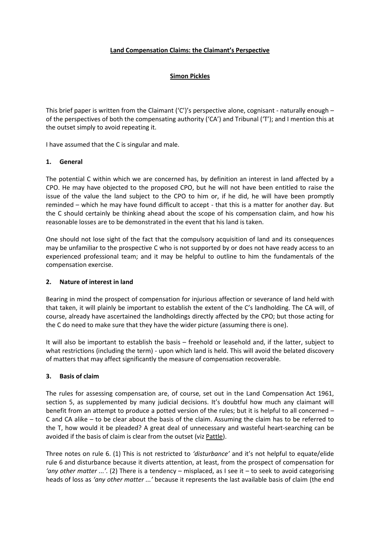### **Land Compensation Claims: the Claimant's Perspective**

### **Simon Pickles**

This brief paper is written from the Claimant  $(C')'$ s perspective alone, cognisant - naturally enough – of the perspectives of both the compensating authority ('CA') and Tribunal ('T'); and I mention this at the outset simply to avoid repeating it.

I have assumed that the C is singular and male.

#### **1. General**

The potential C within which we are concerned has, by definition an interest in land affected by a CPO. He may have objected to the proposed CPO, but he will not have been entitled to raise the issue of the value the land subject to the CPO to him or, if he did, he will have been promptly reminded – which he may have found difficult to accept - that this is a matter for another day. But the C should certainly be thinking ahead about the scope of his compensation claim, and how his reasonable losses are to be demonstrated in the event that his land is taken.

One should not lose sight of the fact that the compulsory acquisition of land and its consequences may be unfamiliar to the prospective C who is not supported by or does not have ready access to an experienced professional team; and it may be helpful to outline to him the fundamentals of the compensation exercise.

# **2. Nature of interest in land**

Bearing in mind the prospect of compensation for injurious affection or severance of land held with that taken, it will plainly be important to establish the extent of the C's landholding. The CA will, of course, already have ascertained the landholdings directly affected by the CPO; but those acting for the C do need to make sure that they have the wider picture (assuming there is one).

It will also be important to establish the basis – freehold or leasehold and, if the latter, subject to what restrictions (including the term) - upon which land is held. This will avoid the belated discovery of matters that may affect significantly the measure of compensation recoverable.

# **3. Basis of claim**

The rules for assessing compensation are, of course, set out in the Land Compensation Act 1961, section 5, as supplemented by many judicial decisions. It's doubtful how much any claimant will benefit from an attempt to produce a potted version of the rules; but it is helpful to all concerned – C and CA alike – to be clear about the basis of the claim. Assuming the claim has to be referred to the T, how would it be pleaded? A great deal of unnecessary and wasteful heart-searching can be avoided if the basis of claim is clear from the outset (viz Pattle).

Three notes on rule 6. (1) This is not restricted to *'disturbance'* and it's not helpful to equate/elide rule 6 and disturbance because it diverts attention, at least, from the prospect of compensation for *'any other matter ...'*. (2) There is a tendency – misplaced, as I see it – to seek to avoid categorising heads of loss as *'any other matter ...'* because it represents the last available basis of claim (the end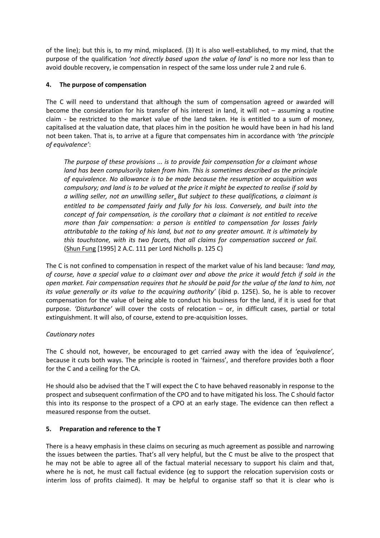of the line); but this is, to my mind, misplaced. (3) It is also well-established, to my mind, that the purpose of the qualification *'not directly based upon the value of land'* is no more nor less than to avoid double recovery, ie compensation in respect of the same loss under rule 2 and rule 6.

# **4. The purpose of compensation**

The C will need to understand that although the sum of compensation agreed or awarded will become the consideration for his transfer of his interest in land, it will not – assuming a routine claim - be restricted to the market value of the land taken. He is entitled to a sum of money, capitalised at the valuation date, that places him in the position he would have been in had his land not been taken. That is, to arrive at a figure that compensates him in accordance with *'the principle of equivalence'*:

*The purpose of these provisions ... is to provide fair compensation for a claimant whose land has been compulsorily taken from him. This is sometimes described as the principle of equivalence. No allowance is to be made because the resumption or acquisition was compulsory; and land is to be valued at the price it might be expected to realise if sold by a willing seller, not an unwilling sellern But subject to these qualifications, a claimant is entitled to be compensated fairly and fully for his loss. Conversely, and built into the concept of fair compensation, is the corollary that a claimant is not entitled to receive more than fair compensation: a person is entitled to compensation for losses fairly attributable to the taking of his land, but not to any greater amount. It is ultimately by this touchstone, with its two facets, that all claims for compensation succeed or fail.* (Shun Fung [1995] 2 A.C. 111 per Lord Nicholls p. 125 C)

The C is not confined to compensation in respect of the market value of his land because: *'land may, of course, have a special value to a claimant over and above the price it would fetch if sold in the open market. Fair compensation requires that he should be paid for the value of the land to him, not its value generally or its value to the acquiring authority'* (ibid p. 125E). So, he is able to recover compensation for the value of being able to conduct his business for the land, if it is used for that purpose. *'Disturbance'* will cover the costs of relocation – or, in difficult cases, partial or total extinguishment. It will also, of course, extend to pre-acquisition losses.

# *Cautionary notes*

The C should not, however, be encouraged to get carried away with the idea of *'equivalence'*, because it cuts both ways. The principle is rooted in 'fairness', and therefore provides both a floor for the C and a ceiling for the CA.

He should also be advised that the T will expect the C to have behaved reasonably in response to the prospect and subsequent confirmation of the CPO and to have mitigated his loss. The C should factor this into its response to the prospect of a CPO at an early stage. The evidence can then reflect a measured response from the outset.

#### **5. Preparation and reference to the T**

There is a heavy emphasis in these claims on securing as much agreement as possible and narrowing the issues between the parties. That's all very helpful, but the C must be alive to the prospect that he may not be able to agree all of the factual material necessary to support his claim and that, where he is not, he must call factual evidence (eg to support the relocation supervision costs or interim loss of profits claimed). It may be helpful to organise staff so that it is clear who is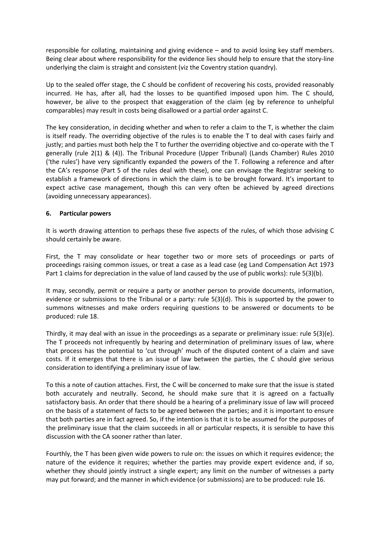responsible for collating, maintaining and giving evidence – and to avoid losing key staff members. Being clear about where responsibility for the evidence lies should help to ensure that the story-line underlying the claim is straight and consistent (viz the Coventry station quandry).

Up to the sealed offer stage, the C should be confident of recovering his costs, provided reasonably incurred. He has, after all, had the losses to be quantified imposed upon him. The C should, however, be alive to the prospect that exaggeration of the claim (eg by reference to unhelpful comparables) may result in costs being disallowed or a partial order against C.

The key consideration, in deciding whether and when to refer a claim to the T, is whether the claim is itself ready. The overriding objective of the rules is to enable the T to deal with cases fairly and justly; and parties must both help the T to further the overriding objective and co-operate with the T generally (rule 2(1) & (4)). The Tribunal Procedure (Upper Tribunal) (Lands Chamber) Rules 2010 ('the rules') have very significantly expanded the powers of the T. Following a reference and after the CA's response (Part 5 of the rules deal with these), one can envisage the Registrar seeking to establish a framework of directions in which the claim is to be brought forward. It's important to expect active case management, though this can very often be achieved by agreed directions (avoiding unnecessary appearances).

#### **6. Particular powers**

It is worth drawing attention to perhaps these five aspects of the rules, of which those advising C should certainly be aware.

First, the T may consolidate or hear together two or more sets of proceedings or parts of proceedings raising common issues, or treat a case as a lead case (eg Land Compensation Act 1973 Part 1 claims for depreciation in the value of land caused by the use of public works): rule 5(3)(b).

It may, secondly, permit or require a party or another person to provide documents, information, evidence or submissions to the Tribunal or a party: rule 5(3)(d). This is supported by the power to summons witnesses and make orders requiring questions to be answered or documents to be produced: rule 18.

Thirdly, it may deal with an issue in the proceedings as a separate or preliminary issue: rule 5(3)(e). The T proceeds not infrequently by hearing and determination of preliminary issues of law, where that process has the potential to 'cut through' much of the disputed content of a claim and save costs. If it emerges that there is an issue of law between the parties, the C should give serious consideration to identifying a preliminary issue of law.

To this a note of caution attaches. First, the C will be concerned to make sure that the issue is stated both accurately and neutrally. Second, he should make sure that it is agreed on a factually satisfactory basis. An order that there should be a hearing of a preliminary issue of law will proceed on the basis of a statement of facts to be agreed between the parties; and it is important to ensure that both parties are in fact agreed. So, if the intention is that it is to be assumed for the purposes of the preliminary issue that the claim succeeds in all or particular respects, it is sensible to have this discussion with the CA sooner rather than later.

Fourthly, the T has been given wide powers to rule on: the issues on which it requires evidence; the nature of the evidence it requires; whether the parties may provide expert evidence and, if so, whether they should jointly instruct a single expert; any limit on the number of witnesses a party may put forward; and the manner in which evidence (or submissions) are to be produced: rule 16.